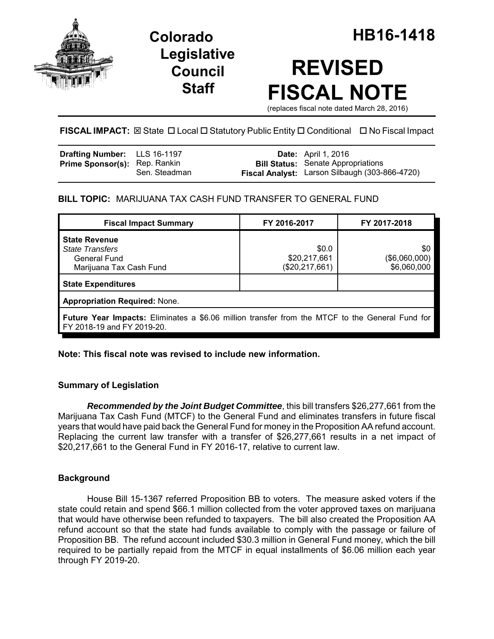

## **Legislative Council Staff**

# **REVISED FISCAL NOTE**

(replaces fiscal note dated March 28, 2016)

## **FISCAL IMPACT:** ⊠ State □ Local □ Statutory Public Entity □ Conditional □ No Fiscal Impact

| <b>Drafting Number:</b> LLS 16-1197  |               | <b>Date:</b> April 1, 2016                                                                  |
|--------------------------------------|---------------|---------------------------------------------------------------------------------------------|
| <b>Prime Sponsor(s): Rep. Rankin</b> | Sen. Steadman | <b>Bill Status:</b> Senate Appropriations<br>Fiscal Analyst: Larson Silbaugh (303-866-4720) |

## **BILL TOPIC:** MARIJUANA TAX CASH FUND TRANSFER TO GENERAL FUND

| <b>Fiscal Impact Summary</b>                                                                                                         | FY 2016-2017                              | FY 2017-2018                        |  |  |  |  |  |
|--------------------------------------------------------------------------------------------------------------------------------------|-------------------------------------------|-------------------------------------|--|--|--|--|--|
| <b>State Revenue</b><br><b>State Transfers</b><br><b>General Fund</b><br>Marijuana Tax Cash Fund                                     | \$0.0<br>\$20,217,661<br>(\$20, 217, 661) | \$0<br>(\$6,060,000)<br>\$6,060,000 |  |  |  |  |  |
| <b>State Expenditures</b>                                                                                                            |                                           |                                     |  |  |  |  |  |
| <b>Appropriation Required: None.</b>                                                                                                 |                                           |                                     |  |  |  |  |  |
| <b>Future Year Impacts:</b> Eliminates a \$6.06 million transfer from the MTCF to the General Fund for<br>FY 2018-19 and FY 2019-20. |                                           |                                     |  |  |  |  |  |

## **Note: This fiscal note was revised to include new information.**

## **Summary of Legislation**

*Recommended by the Joint Budget Committee*, this bill transfers \$26,277,661 from the Marijuana Tax Cash Fund (MTCF) to the General Fund and eliminates transfers in future fiscal years that would have paid back the General Fund for money in the Proposition AA refund account. Replacing the current law transfer with a transfer of \$26,277,661 results in a net impact of \$20,217,661 to the General Fund in FY 2016-17, relative to current law.

## **Background**

House Bill 15-1367 referred Proposition BB to voters. The measure asked voters if the state could retain and spend \$66.1 million collected from the voter approved taxes on marijuana that would have otherwise been refunded to taxpayers. The bill also created the Proposition AA refund account so that the state had funds available to comply with the passage or failure of Proposition BB. The refund account included \$30.3 million in General Fund money, which the bill required to be partially repaid from the MTCF in equal installments of \$6.06 million each year through FY 2019-20.